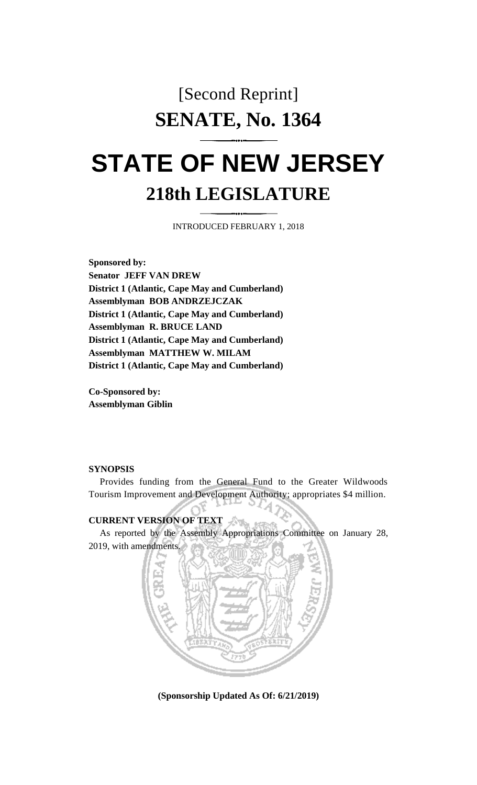## [Second Reprint] **SENATE, No. 1364**

## **STATE OF NEW JERSEY 218th LEGISLATURE**

INTRODUCED FEBRUARY 1, 2018

**Sponsored by: Senator JEFF VAN DREW District 1 (Atlantic, Cape May and Cumberland) Assemblyman BOB ANDRZEJCZAK District 1 (Atlantic, Cape May and Cumberland) Assemblyman R. BRUCE LAND District 1 (Atlantic, Cape May and Cumberland) Assemblyman MATTHEW W. MILAM District 1 (Atlantic, Cape May and Cumberland)**

**Co-Sponsored by: Assemblyman Giblin**

## **SYNOPSIS**

Provides funding from the General Fund to the Greater Wildwoods Tourism Improvement and Development Authority; appropriates \$4 million.

## **CURRENT VERSION OF TEXT**

As reported by the Assembly Appropriations Committee on January 28, 2019, with amendments.



**(Sponsorship Updated As Of: 6/21/2019)**